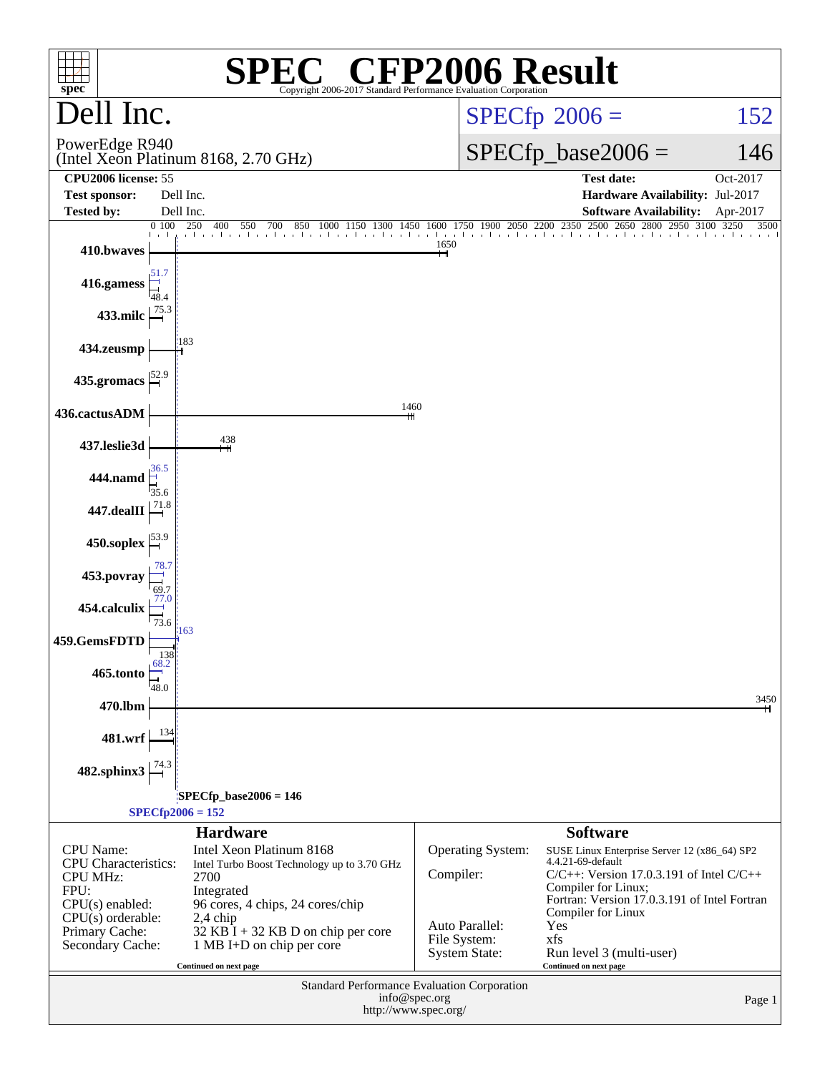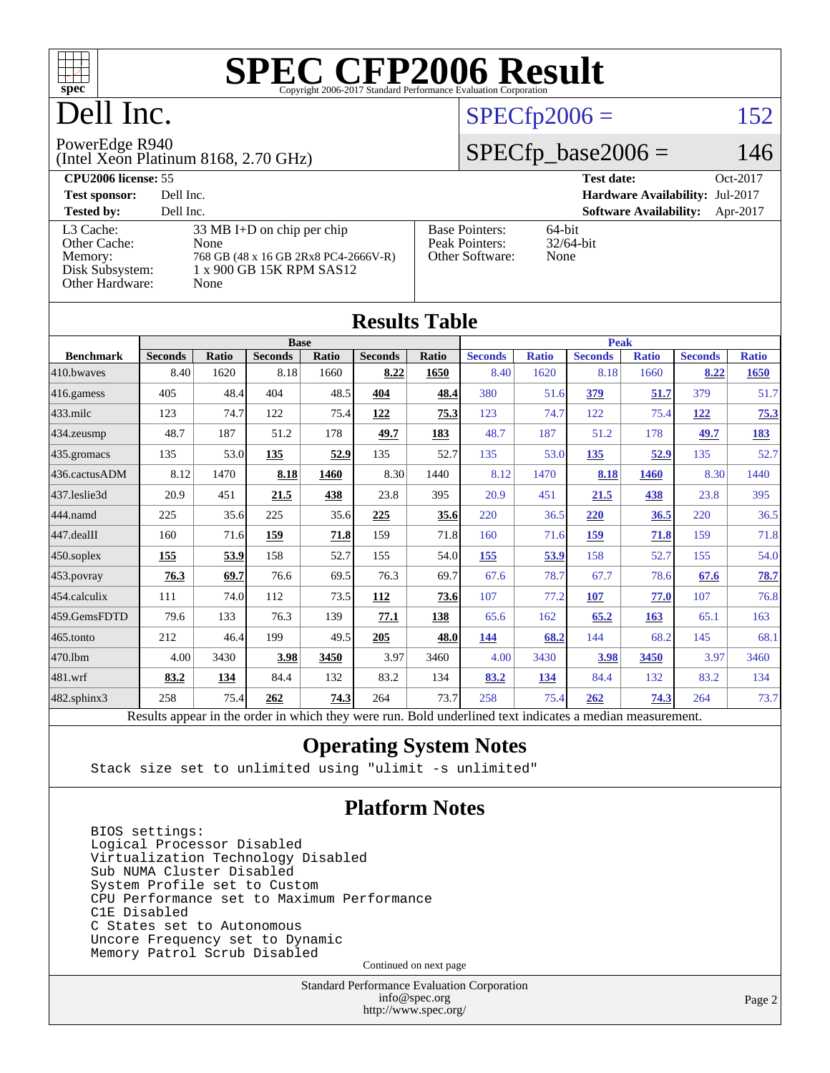

## Dell Inc.

### $SPECfp2006 = 152$  $SPECfp2006 = 152$

PowerEdge R940

(Intel Xeon Platinum 8168, 2.70 GHz)

 $SPECfp\_base2006 = 146$ 

| <b>CPU2006 license: 55</b>           |                                                                                      |                                                            | Oct-2017<br><b>Test date:</b>             |  |  |  |
|--------------------------------------|--------------------------------------------------------------------------------------|------------------------------------------------------------|-------------------------------------------|--|--|--|
| <b>Test sponsor:</b>                 | Dell Inc.                                                                            |                                                            | <b>Hardware Availability: Jul-2017</b>    |  |  |  |
| <b>Tested by:</b>                    | Dell Inc.                                                                            |                                                            | <b>Software Availability:</b><br>Apr-2017 |  |  |  |
| L3 Cache:<br>Other Cache:<br>Memory: | $33 \text{ MB I+D}$ on chip per chip<br>None<br>768 GB (48 x 16 GB 2Rx8 PC4-2666V-R) | <b>Base Pointers:</b><br>Peak Pointers:<br>Other Software: | 64-bit<br>$32/64$ -bit<br>None            |  |  |  |
| Disk Subsystem:<br>Other Hardware:   | 1 x 900 GB 15K RPM SAS12<br>None                                                     |                                                            |                                           |  |  |  |

| <b>Results Table</b>                                                                                     |                |       |                |       |                |             |                |              |                |              |                |              |
|----------------------------------------------------------------------------------------------------------|----------------|-------|----------------|-------|----------------|-------------|----------------|--------------|----------------|--------------|----------------|--------------|
|                                                                                                          | <b>Base</b>    |       |                |       |                | <b>Peak</b> |                |              |                |              |                |              |
| <b>Benchmark</b>                                                                                         | <b>Seconds</b> | Ratio | <b>Seconds</b> | Ratio | <b>Seconds</b> | Ratio       | <b>Seconds</b> | <b>Ratio</b> | <b>Seconds</b> | <b>Ratio</b> | <b>Seconds</b> | <b>Ratio</b> |
| 410.bwayes                                                                                               | 8.40           | 1620  | 8.18           | 1660  | 8.22           | 1650        | 8.40           | 1620         | 8.18           | 1660         | 8.22           | <b>1650</b>  |
| 416.gamess                                                                                               | 405            | 48.4  | 404            | 48.5  | 404            | 48.4        | 380            | 51.6         | 379            | 51.7         | 379            | 51.7         |
| $433$ .milc                                                                                              | 123            | 74.7  | 122            | 75.4  | 122            | 75.3        | 123            | 74.7         | 122            | 75.4         | 122            | <u>75.3</u>  |
| 434.zeusmp                                                                                               | 48.7           | 187   | 51.2           | 178   | 49.7           | 183         | 48.7           | 187          | 51.2           | 178          | 49.7           | <u>183</u>   |
| 435.gromacs                                                                                              | 135            | 53.0  | 135            | 52.9  | 135            | 52.7        | 135            | 53.0         | 135            | 52.9         | 135            | 52.7         |
| 436.cactusADM                                                                                            | 8.12           | 1470  | 8.18           | 1460  | 8.30           | 1440        | 8.12           | 1470         | 8.18           | 1460         | 8.30           | 1440         |
| 437.leslie3d                                                                                             | 20.9           | 451   | 21.5           | 438   | 23.8           | 395         | 20.9           | 451          | 21.5           | 438          | 23.8           | 395          |
| 444.namd                                                                                                 | 225            | 35.6  | 225            | 35.6  | 225            | 35.6        | 220            | 36.5         | 220            | 36.5         | 220            | 36.5         |
| 447.dealII                                                                                               | 160            | 71.6  | 159            | 71.8  | 159            | 71.8        | 160            | 71.6         | 159            | 71.8         | 159            | 71.8         |
| 450.soplex                                                                                               | 155            | 53.9  | 158            | 52.7  | 155            | 54.0        | 155            | 53.9         | 158            | 52.7         | 155            | 54.0         |
| 453.povray                                                                                               | 76.3           | 69.7  | 76.6           | 69.5  | 76.3           | 69.7        | 67.6           | 78.7         | 67.7           | 78.6         | 67.6           | 78.7         |
| 454.calculix                                                                                             | 111            | 74.0  | 112            | 73.5  | 112            | 73.6        | 107            | 77.2         | 107            | 77.0         | 107            | 76.8         |
| 459.GemsFDTD                                                                                             | 79.6           | 133   | 76.3           | 139   | 77.1           | 138         | 65.6           | 162          | 65.2           | 163          | 65.1           | 163          |
| 465.tonto                                                                                                | 212            | 46.4  | 199            | 49.5  | 205            | 48.0        | 144            | 68.2         | 144            | 68.2         | 145            | 68.1         |
| 470.1bm                                                                                                  | 4.00           | 3430  | 3.98           | 3450  | 3.97           | 3460        | 4.00           | 3430         | 3.98           | 3450         | 3.97           | 3460         |
| 481.wrf                                                                                                  | 83.2           | 134   | 84.4           | 132   | 83.2           | 134         | 83.2           | 134          | 84.4           | 132          | 83.2           | 134          |
| 482.sphinx3                                                                                              | 258            | 75.4  | 262            | 74.3  | 264            | 73.7        | 258            | 75.4         | 262            | 74.3         | 264            | 73.7         |
| Results appear in the order in which they were run. Bold underlined text indicates a median measurement. |                |       |                |       |                |             |                |              |                |              |                |              |

#### **[Operating System Notes](http://www.spec.org/auto/cpu2006/Docs/result-fields.html#OperatingSystemNotes)**

Stack size set to unlimited using "ulimit -s unlimited"

#### **[Platform Notes](http://www.spec.org/auto/cpu2006/Docs/result-fields.html#PlatformNotes)**

 BIOS settings: Logical Processor Disabled Virtualization Technology Disabled Sub NUMA Cluster Disabled System Profile set to Custom CPU Performance set to Maximum Performance C1E Disabled C States set to Autonomous Uncore Frequency set to Dynamic Memory Patrol Scrub Disabled

Continued on next page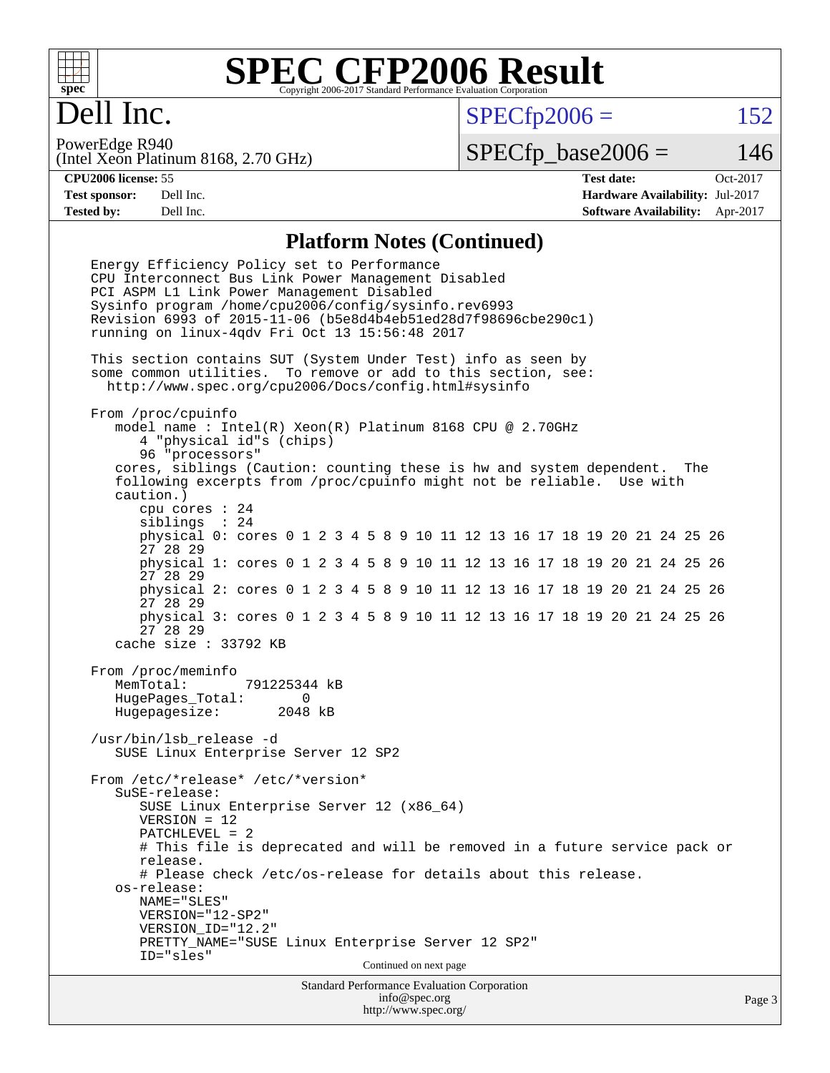

## Dell Inc.

 $SPECTp2006 = 152$ 

(Intel Xeon Platinum 8168, 2.70 GHz) PowerEdge R940

 $SPECTp\_base2006 = 146$ 

**[CPU2006 license:](http://www.spec.org/auto/cpu2006/Docs/result-fields.html#CPU2006license)** 55 **[Test date:](http://www.spec.org/auto/cpu2006/Docs/result-fields.html#Testdate)** Oct-2017 **[Test sponsor:](http://www.spec.org/auto/cpu2006/Docs/result-fields.html#Testsponsor)** Dell Inc. **[Hardware Availability:](http://www.spec.org/auto/cpu2006/Docs/result-fields.html#HardwareAvailability)** Jul-2017 **[Tested by:](http://www.spec.org/auto/cpu2006/Docs/result-fields.html#Testedby)** Dell Inc. **[Software Availability:](http://www.spec.org/auto/cpu2006/Docs/result-fields.html#SoftwareAvailability)** Apr-2017

### **[Platform Notes \(Continued\)](http://www.spec.org/auto/cpu2006/Docs/result-fields.html#PlatformNotes)**

Standard Performance Evaluation Corporation Energy Efficiency Policy set to Performance CPU Interconnect Bus Link Power Management Disabled PCI ASPM L1 Link Power Management Disabled Sysinfo program /home/cpu2006/config/sysinfo.rev6993 Revision 6993 of 2015-11-06 (b5e8d4b4eb51ed28d7f98696cbe290c1) running on linux-4qdv Fri Oct 13 15:56:48 2017 This section contains SUT (System Under Test) info as seen by some common utilities. To remove or add to this section, see: <http://www.spec.org/cpu2006/Docs/config.html#sysinfo> From /proc/cpuinfo model name : Intel(R) Xeon(R) Platinum 8168 CPU @ 2.70GHz 4 "physical id"s (chips) 96 "processors" cores, siblings (Caution: counting these is hw and system dependent. The following excerpts from /proc/cpuinfo might not be reliable. Use with caution.) cpu cores : 24 siblings : 24 physical 0: cores 0 1 2 3 4 5 8 9 10 11 12 13 16 17 18 19 20 21 24 25 26 27 28 29 physical 1: cores 0 1 2 3 4 5 8 9 10 11 12 13 16 17 18 19 20 21 24 25 26 27 28 29 physical 2: cores 0 1 2 3 4 5 8 9 10 11 12 13 16 17 18 19 20 21 24 25 26 27 28 29 physical 3: cores 0 1 2 3 4 5 8 9 10 11 12 13 16 17 18 19 20 21 24 25 26 27 28 29 cache size : 33792 KB From /proc/meminfo MemTotal: 791225344 kB HugePages\_Total: 0 Hugepagesize: 2048 kB /usr/bin/lsb\_release -d SUSE Linux Enterprise Server 12 SP2 From /etc/\*release\* /etc/\*version\* SuSE-release: SUSE Linux Enterprise Server 12 (x86\_64) VERSION = 12 PATCHLEVEL = 2 # This file is deprecated and will be removed in a future service pack or release. # Please check /etc/os-release for details about this release. os-release: NAME="SLES" VERSION="12-SP2" VERSION\_ID="12.2" PRETTY\_NAME="SUSE Linux Enterprise Server 12 SP2" ID="sles" Continued on next page

[info@spec.org](mailto:info@spec.org) <http://www.spec.org/>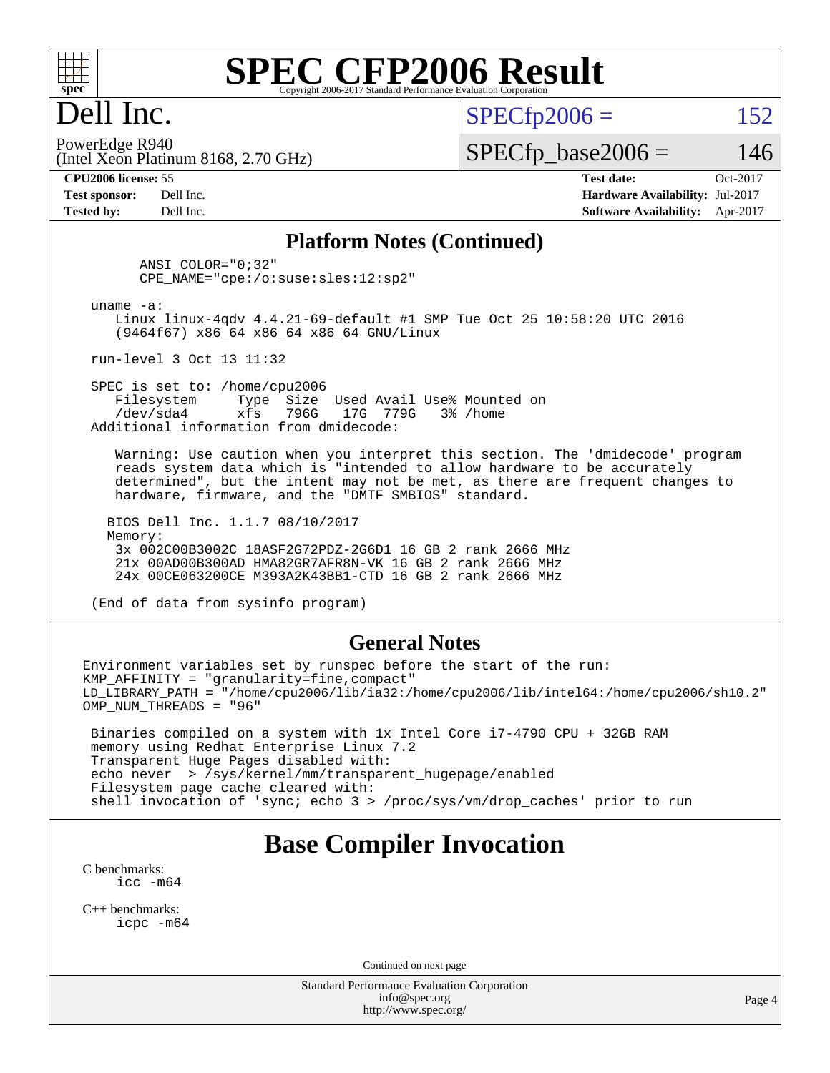

## Dell Inc.

 $SPECTp2006 = 152$ 

(Intel Xeon Platinum 8168, 2.70 GHz) PowerEdge R940

 $SPECTp\_base2006 = 146$ 

**[CPU2006 license:](http://www.spec.org/auto/cpu2006/Docs/result-fields.html#CPU2006license)** 55 **[Test date:](http://www.spec.org/auto/cpu2006/Docs/result-fields.html#Testdate)** Oct-2017 **[Test sponsor:](http://www.spec.org/auto/cpu2006/Docs/result-fields.html#Testsponsor)** Dell Inc. **[Hardware Availability:](http://www.spec.org/auto/cpu2006/Docs/result-fields.html#HardwareAvailability)** Jul-2017 **[Tested by:](http://www.spec.org/auto/cpu2006/Docs/result-fields.html#Testedby)** Dell Inc. **[Software Availability:](http://www.spec.org/auto/cpu2006/Docs/result-fields.html#SoftwareAvailability)** Apr-2017

#### **[Platform Notes \(Continued\)](http://www.spec.org/auto/cpu2006/Docs/result-fields.html#PlatformNotes)**

 ANSI\_COLOR="0;32" CPE\_NAME="cpe:/o:suse:sles:12:sp2"

uname -a:

 Linux linux-4qdv 4.4.21-69-default #1 SMP Tue Oct 25 10:58:20 UTC 2016 (9464f67) x86\_64 x86\_64 x86\_64 GNU/Linux

run-level 3 Oct 13 11:32

SPEC is set to: /home/cpu2006<br>Filesystem Type Size Filesystem Type Size Used Avail Use% Mounted on<br>/dev/sda4 xfs 796G 17G 779G 3% /home xfs 796G 17G 779G 3% /home Additional information from dmidecode:

 Warning: Use caution when you interpret this section. The 'dmidecode' program reads system data which is "intended to allow hardware to be accurately determined", but the intent may not be met, as there are frequent changes to hardware, firmware, and the "DMTF SMBIOS" standard.

 BIOS Dell Inc. 1.1.7 08/10/2017 Memory: 3x 002C00B3002C 18ASF2G72PDZ-2G6D1 16 GB 2 rank 2666 MHz 21x 00AD00B300AD HMA82GR7AFR8N-VK 16 GB 2 rank 2666 MHz 24x 00CE063200CE M393A2K43BB1-CTD 16 GB 2 rank 2666 MHz

(End of data from sysinfo program)

#### **[General Notes](http://www.spec.org/auto/cpu2006/Docs/result-fields.html#GeneralNotes)**

Environment variables set by runspec before the start of the run:  $KMP$  AFFINITY = "granularity=fine, compact" LD\_LIBRARY\_PATH = "/home/cpu2006/lib/ia32:/home/cpu2006/lib/intel64:/home/cpu2006/sh10.2" OMP\_NUM\_THREADS = "96"

 Binaries compiled on a system with 1x Intel Core i7-4790 CPU + 32GB RAM memory using Redhat Enterprise Linux 7.2 Transparent Huge Pages disabled with: echo never > /sys/kernel/mm/transparent\_hugepage/enabled Filesystem page cache cleared with: shell invocation of 'sync; echo 3 > /proc/sys/vm/drop\_caches' prior to run

### **[Base Compiler Invocation](http://www.spec.org/auto/cpu2006/Docs/result-fields.html#BaseCompilerInvocation)**

[C benchmarks](http://www.spec.org/auto/cpu2006/Docs/result-fields.html#Cbenchmarks): [icc -m64](http://www.spec.org/cpu2006/results/res2017q4/cpu2006-20171030-50375.flags.html#user_CCbase_intel_icc_64bit_bda6cc9af1fdbb0edc3795bac97ada53)

[C++ benchmarks:](http://www.spec.org/auto/cpu2006/Docs/result-fields.html#CXXbenchmarks) [icpc -m64](http://www.spec.org/cpu2006/results/res2017q4/cpu2006-20171030-50375.flags.html#user_CXXbase_intel_icpc_64bit_fc66a5337ce925472a5c54ad6a0de310)

Continued on next page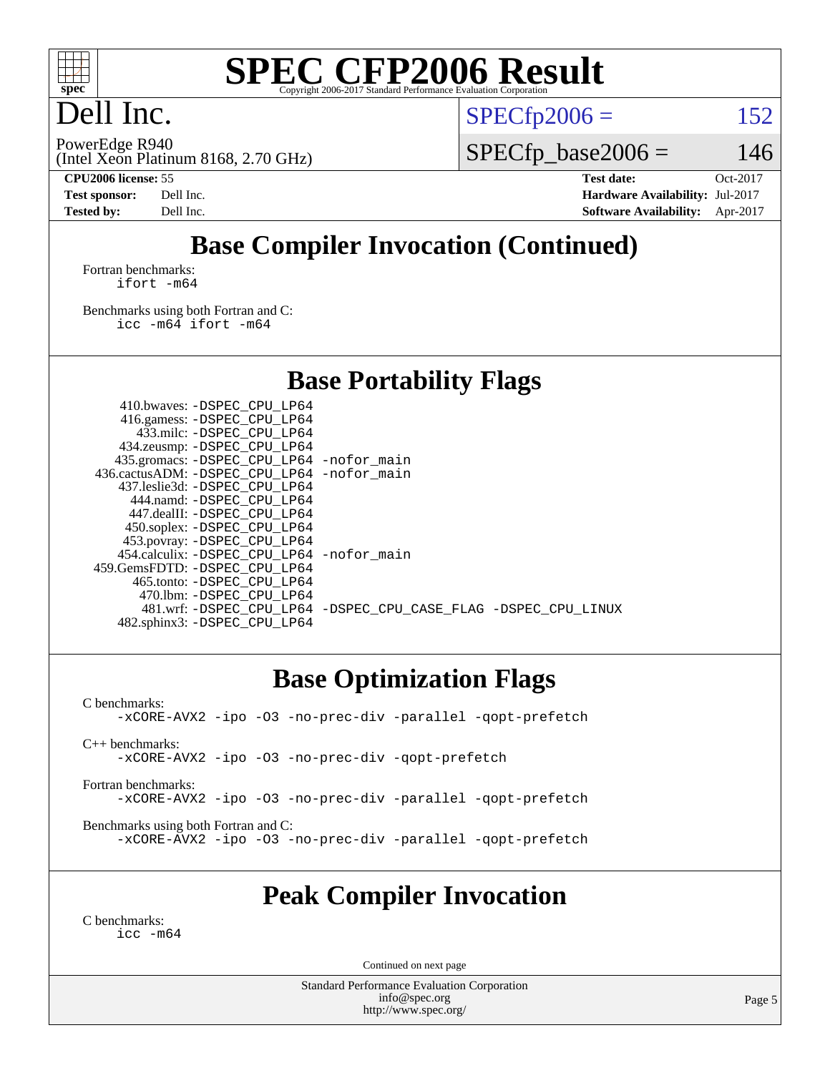

## Dell Inc.

PowerEdge R940

 $SPECTp2006 = 152$ 

(Intel Xeon Platinum 8168, 2.70 GHz)

 $SPECfp\_base2006 = 146$ 

**[CPU2006 license:](http://www.spec.org/auto/cpu2006/Docs/result-fields.html#CPU2006license)** 55 **[Test date:](http://www.spec.org/auto/cpu2006/Docs/result-fields.html#Testdate)** Oct-2017 **[Test sponsor:](http://www.spec.org/auto/cpu2006/Docs/result-fields.html#Testsponsor)** Dell Inc. **[Hardware Availability:](http://www.spec.org/auto/cpu2006/Docs/result-fields.html#HardwareAvailability)** Jul-2017 **[Tested by:](http://www.spec.org/auto/cpu2006/Docs/result-fields.html#Testedby)** Dell Inc. **[Software Availability:](http://www.spec.org/auto/cpu2006/Docs/result-fields.html#SoftwareAvailability)** Apr-2017

## **[Base Compiler Invocation \(Continued\)](http://www.spec.org/auto/cpu2006/Docs/result-fields.html#BaseCompilerInvocation)**

[Fortran benchmarks](http://www.spec.org/auto/cpu2006/Docs/result-fields.html#Fortranbenchmarks): [ifort -m64](http://www.spec.org/cpu2006/results/res2017q4/cpu2006-20171030-50375.flags.html#user_FCbase_intel_ifort_64bit_ee9d0fb25645d0210d97eb0527dcc06e)

[Benchmarks using both Fortran and C](http://www.spec.org/auto/cpu2006/Docs/result-fields.html#BenchmarksusingbothFortranandC): [icc -m64](http://www.spec.org/cpu2006/results/res2017q4/cpu2006-20171030-50375.flags.html#user_CC_FCbase_intel_icc_64bit_bda6cc9af1fdbb0edc3795bac97ada53) [ifort -m64](http://www.spec.org/cpu2006/results/res2017q4/cpu2006-20171030-50375.flags.html#user_CC_FCbase_intel_ifort_64bit_ee9d0fb25645d0210d97eb0527dcc06e)

**[Base Portability Flags](http://www.spec.org/auto/cpu2006/Docs/result-fields.html#BasePortabilityFlags)**

| 410.bwaves: -DSPEC CPU LP64<br>416.gamess: -DSPEC_CPU_LP64<br>433.milc: -DSPEC CPU LP64<br>434.zeusmp: -DSPEC_CPU_LP64<br>435.gromacs: -DSPEC_CPU_LP64 -nofor_main<br>436.cactusADM: - DSPEC CPU LP64 - nofor main<br>437.leslie3d: -DSPEC_CPU LP64<br>444.namd: -DSPEC CPU LP64<br>447.dealII: -DSPEC CPU LP64<br>450.soplex: -DSPEC_CPU_LP64 |                                                                |
|------------------------------------------------------------------------------------------------------------------------------------------------------------------------------------------------------------------------------------------------------------------------------------------------------------------------------------------------|----------------------------------------------------------------|
| 453.povray: -DSPEC CPU LP64<br>454.calculix: - DSPEC CPU LP64 - nofor main<br>459.GemsFDTD: - DSPEC_CPU_LP64<br>465.tonto: -DSPEC CPU LP64                                                                                                                                                                                                     |                                                                |
| 470.1bm: -DSPEC CPU LP64<br>482.sphinx3: -DSPEC_CPU_LP64                                                                                                                                                                                                                                                                                       | 481.wrf: -DSPEC_CPU_LP64 -DSPEC_CPU_CASE_FLAG -DSPEC_CPU_LINUX |

### **[Base Optimization Flags](http://www.spec.org/auto/cpu2006/Docs/result-fields.html#BaseOptimizationFlags)**

[C benchmarks](http://www.spec.org/auto/cpu2006/Docs/result-fields.html#Cbenchmarks): [-xCORE-AVX2](http://www.spec.org/cpu2006/results/res2017q4/cpu2006-20171030-50375.flags.html#user_CCbase_f-xCORE-AVX2) [-ipo](http://www.spec.org/cpu2006/results/res2017q4/cpu2006-20171030-50375.flags.html#user_CCbase_f-ipo) [-O3](http://www.spec.org/cpu2006/results/res2017q4/cpu2006-20171030-50375.flags.html#user_CCbase_f-O3) [-no-prec-div](http://www.spec.org/cpu2006/results/res2017q4/cpu2006-20171030-50375.flags.html#user_CCbase_f-no-prec-div) [-parallel](http://www.spec.org/cpu2006/results/res2017q4/cpu2006-20171030-50375.flags.html#user_CCbase_f-parallel) [-qopt-prefetch](http://www.spec.org/cpu2006/results/res2017q4/cpu2006-20171030-50375.flags.html#user_CCbase_f-qopt-prefetch) [C++ benchmarks:](http://www.spec.org/auto/cpu2006/Docs/result-fields.html#CXXbenchmarks) [-xCORE-AVX2](http://www.spec.org/cpu2006/results/res2017q4/cpu2006-20171030-50375.flags.html#user_CXXbase_f-xCORE-AVX2) [-ipo](http://www.spec.org/cpu2006/results/res2017q4/cpu2006-20171030-50375.flags.html#user_CXXbase_f-ipo) [-O3](http://www.spec.org/cpu2006/results/res2017q4/cpu2006-20171030-50375.flags.html#user_CXXbase_f-O3) [-no-prec-div](http://www.spec.org/cpu2006/results/res2017q4/cpu2006-20171030-50375.flags.html#user_CXXbase_f-no-prec-div) [-qopt-prefetch](http://www.spec.org/cpu2006/results/res2017q4/cpu2006-20171030-50375.flags.html#user_CXXbase_f-qopt-prefetch) [Fortran benchmarks](http://www.spec.org/auto/cpu2006/Docs/result-fields.html#Fortranbenchmarks): [-xCORE-AVX2](http://www.spec.org/cpu2006/results/res2017q4/cpu2006-20171030-50375.flags.html#user_FCbase_f-xCORE-AVX2) [-ipo](http://www.spec.org/cpu2006/results/res2017q4/cpu2006-20171030-50375.flags.html#user_FCbase_f-ipo) [-O3](http://www.spec.org/cpu2006/results/res2017q4/cpu2006-20171030-50375.flags.html#user_FCbase_f-O3) [-no-prec-div](http://www.spec.org/cpu2006/results/res2017q4/cpu2006-20171030-50375.flags.html#user_FCbase_f-no-prec-div) [-parallel](http://www.spec.org/cpu2006/results/res2017q4/cpu2006-20171030-50375.flags.html#user_FCbase_f-parallel) [-qopt-prefetch](http://www.spec.org/cpu2006/results/res2017q4/cpu2006-20171030-50375.flags.html#user_FCbase_f-qopt-prefetch) [Benchmarks using both Fortran and C](http://www.spec.org/auto/cpu2006/Docs/result-fields.html#BenchmarksusingbothFortranandC): [-xCORE-AVX2](http://www.spec.org/cpu2006/results/res2017q4/cpu2006-20171030-50375.flags.html#user_CC_FCbase_f-xCORE-AVX2) [-ipo](http://www.spec.org/cpu2006/results/res2017q4/cpu2006-20171030-50375.flags.html#user_CC_FCbase_f-ipo) [-O3](http://www.spec.org/cpu2006/results/res2017q4/cpu2006-20171030-50375.flags.html#user_CC_FCbase_f-O3) [-no-prec-div](http://www.spec.org/cpu2006/results/res2017q4/cpu2006-20171030-50375.flags.html#user_CC_FCbase_f-no-prec-div) [-parallel](http://www.spec.org/cpu2006/results/res2017q4/cpu2006-20171030-50375.flags.html#user_CC_FCbase_f-parallel) [-qopt-prefetch](http://www.spec.org/cpu2006/results/res2017q4/cpu2006-20171030-50375.flags.html#user_CC_FCbase_f-qopt-prefetch)

### **[Peak Compiler Invocation](http://www.spec.org/auto/cpu2006/Docs/result-fields.html#PeakCompilerInvocation)**

[C benchmarks](http://www.spec.org/auto/cpu2006/Docs/result-fields.html#Cbenchmarks): [icc -m64](http://www.spec.org/cpu2006/results/res2017q4/cpu2006-20171030-50375.flags.html#user_CCpeak_intel_icc_64bit_bda6cc9af1fdbb0edc3795bac97ada53)

Continued on next page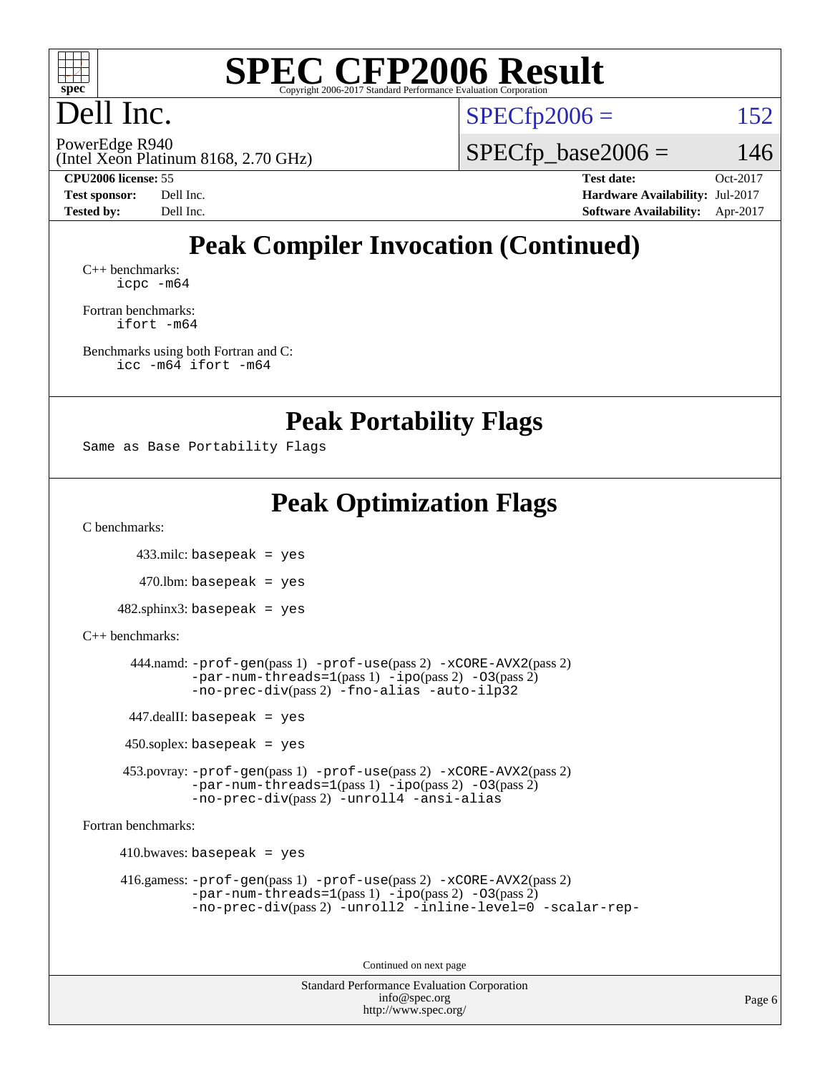

## Dell Inc.

 $SPECTp2006 = 152$ 

(Intel Xeon Platinum 8168, 2.70 GHz) PowerEdge R940

 $SPECfp\_base2006 = 146$ 

**[CPU2006 license:](http://www.spec.org/auto/cpu2006/Docs/result-fields.html#CPU2006license)** 55 **[Test date:](http://www.spec.org/auto/cpu2006/Docs/result-fields.html#Testdate)** Oct-2017 **[Test sponsor:](http://www.spec.org/auto/cpu2006/Docs/result-fields.html#Testsponsor)** Dell Inc. **[Hardware Availability:](http://www.spec.org/auto/cpu2006/Docs/result-fields.html#HardwareAvailability)** Jul-2017 **[Tested by:](http://www.spec.org/auto/cpu2006/Docs/result-fields.html#Testedby)** Dell Inc. **[Software Availability:](http://www.spec.org/auto/cpu2006/Docs/result-fields.html#SoftwareAvailability)** Apr-2017

## **[Peak Compiler Invocation \(Continued\)](http://www.spec.org/auto/cpu2006/Docs/result-fields.html#PeakCompilerInvocation)**

[C++ benchmarks:](http://www.spec.org/auto/cpu2006/Docs/result-fields.html#CXXbenchmarks) [icpc -m64](http://www.spec.org/cpu2006/results/res2017q4/cpu2006-20171030-50375.flags.html#user_CXXpeak_intel_icpc_64bit_fc66a5337ce925472a5c54ad6a0de310)

[Fortran benchmarks](http://www.spec.org/auto/cpu2006/Docs/result-fields.html#Fortranbenchmarks): [ifort -m64](http://www.spec.org/cpu2006/results/res2017q4/cpu2006-20171030-50375.flags.html#user_FCpeak_intel_ifort_64bit_ee9d0fb25645d0210d97eb0527dcc06e)

[Benchmarks using both Fortran and C](http://www.spec.org/auto/cpu2006/Docs/result-fields.html#BenchmarksusingbothFortranandC): [icc -m64](http://www.spec.org/cpu2006/results/res2017q4/cpu2006-20171030-50375.flags.html#user_CC_FCpeak_intel_icc_64bit_bda6cc9af1fdbb0edc3795bac97ada53) [ifort -m64](http://www.spec.org/cpu2006/results/res2017q4/cpu2006-20171030-50375.flags.html#user_CC_FCpeak_intel_ifort_64bit_ee9d0fb25645d0210d97eb0527dcc06e)

**[Peak Portability Flags](http://www.spec.org/auto/cpu2006/Docs/result-fields.html#PeakPortabilityFlags)**

```
Same as Base Portability Flags
```
## **[Peak Optimization Flags](http://www.spec.org/auto/cpu2006/Docs/result-fields.html#PeakOptimizationFlags)**

[C benchmarks](http://www.spec.org/auto/cpu2006/Docs/result-fields.html#Cbenchmarks):

433.milc: basepeak = yes

 $470$ .lbm: basepeak = yes

482.sphinx3: basepeak = yes

#### [C++ benchmarks:](http://www.spec.org/auto/cpu2006/Docs/result-fields.html#CXXbenchmarks)

```
 444.namd: -prof-gen(pass 1) -prof-use(pass 2) -xCORE-AVX2(pass 2)
       -par-num-threads=1-ipo-O3(pass 2)-no-prec-div(pass 2) -fno-alias -auto-ilp32
447.dealII: basepeak = yes
```
450.soplex: basepeak = yes

 453.povray: [-prof-gen](http://www.spec.org/cpu2006/results/res2017q4/cpu2006-20171030-50375.flags.html#user_peakPASS1_CXXFLAGSPASS1_LDFLAGS453_povray_prof_gen_e43856698f6ca7b7e442dfd80e94a8fc)(pass 1) [-prof-use](http://www.spec.org/cpu2006/results/res2017q4/cpu2006-20171030-50375.flags.html#user_peakPASS2_CXXFLAGSPASS2_LDFLAGS453_povray_prof_use_bccf7792157ff70d64e32fe3e1250b55)(pass 2) [-xCORE-AVX2](http://www.spec.org/cpu2006/results/res2017q4/cpu2006-20171030-50375.flags.html#user_peakPASS2_CXXFLAGSPASS2_LDFLAGS453_povray_f-xCORE-AVX2)(pass 2) [-par-num-threads=1](http://www.spec.org/cpu2006/results/res2017q4/cpu2006-20171030-50375.flags.html#user_peakPASS1_CXXFLAGSPASS1_LDFLAGS453_povray_par_num_threads_786a6ff141b4e9e90432e998842df6c2)(pass 1) [-ipo](http://www.spec.org/cpu2006/results/res2017q4/cpu2006-20171030-50375.flags.html#user_peakPASS2_CXXFLAGSPASS2_LDFLAGS453_povray_f-ipo)(pass 2) [-O3](http://www.spec.org/cpu2006/results/res2017q4/cpu2006-20171030-50375.flags.html#user_peakPASS2_CXXFLAGSPASS2_LDFLAGS453_povray_f-O3)(pass 2) [-no-prec-div](http://www.spec.org/cpu2006/results/res2017q4/cpu2006-20171030-50375.flags.html#user_peakPASS2_CXXFLAGSPASS2_LDFLAGS453_povray_f-no-prec-div)(pass 2) [-unroll4](http://www.spec.org/cpu2006/results/res2017q4/cpu2006-20171030-50375.flags.html#user_peakCXXOPTIMIZE453_povray_f-unroll_4e5e4ed65b7fd20bdcd365bec371b81f) [-ansi-alias](http://www.spec.org/cpu2006/results/res2017q4/cpu2006-20171030-50375.flags.html#user_peakCXXOPTIMIZE453_povray_f-ansi-alias)

[Fortran benchmarks](http://www.spec.org/auto/cpu2006/Docs/result-fields.html#Fortranbenchmarks):

 $410.bwaves: basepeak = yes$ 

```
 416.gamess: -prof-gen(pass 1) -prof-use(pass 2) -xCORE-AVX2(pass 2)
         -par-num-threads=1(pass 1) -ipo(pass 2) -O3(pass 2)
         -no-prec-div(pass 2) -unroll2 -inline-level=0 -scalar-rep-
```
Continued on next page